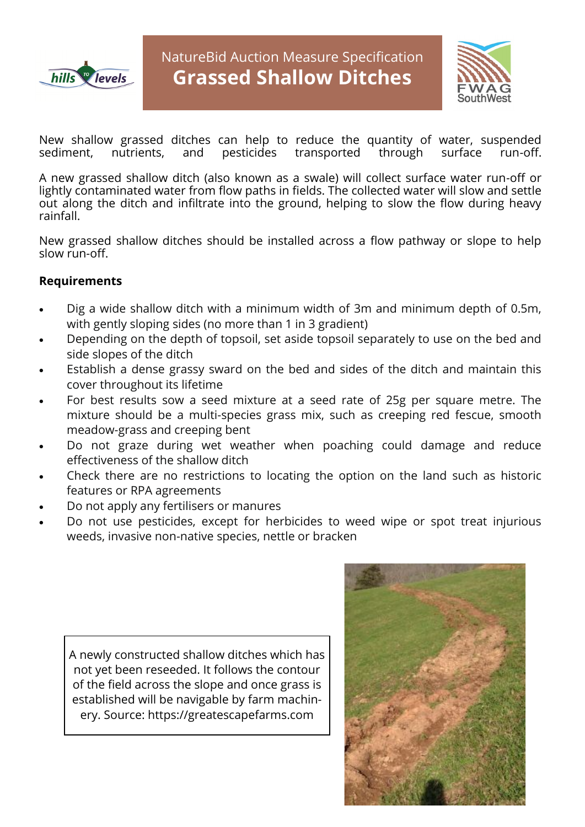



New shallow grassed ditches can help to reduce the quantity of water, suspended<br>sediment, nutrients, and pesticides transported through surface run-off. sediment, nutrients, and pesticides transported through surface run-off.

A new grassed shallow ditch (also known as a swale) will collect surface water run-off or lightly contaminated water from flow paths in fields. The collected water will slow and settle out along the ditch and infiltrate into the ground, helping to slow the flow during heavy rainfall.

New grassed shallow ditches should be installed across a flow pathway or slope to help slow run-off.

## **Requirements**

- Dig a wide shallow ditch with a minimum width of 3m and minimum depth of 0.5m, with gently sloping sides (no more than 1 in 3 gradient)
- Depending on the depth of topsoil, set aside topsoil separately to use on the bed and side slopes of the ditch
- Establish a dense grassy sward on the bed and sides of the ditch and maintain this cover throughout its lifetime
- For best results sow a seed mixture at a seed rate of 25g per square metre. The mixture should be a multi-species grass mix, such as creeping red fescue, smooth meadow-grass and creeping bent
- Do not graze during wet weather when poaching could damage and reduce effectiveness of the shallow ditch
- Check there are no restrictions to locating the option on the land such as historic features or RPA agreements
- Do not apply any fertilisers or manures
- Do not use pesticides, except for herbicides to weed wipe or spot treat injurious weeds, invasive non-native species, nettle or bracken

A newly constructed shallow ditches which has not yet been reseeded. It follows the contour of the field across the slope and once grass is established will be navigable by farm machinery. Source: https://greatescapefarms.com